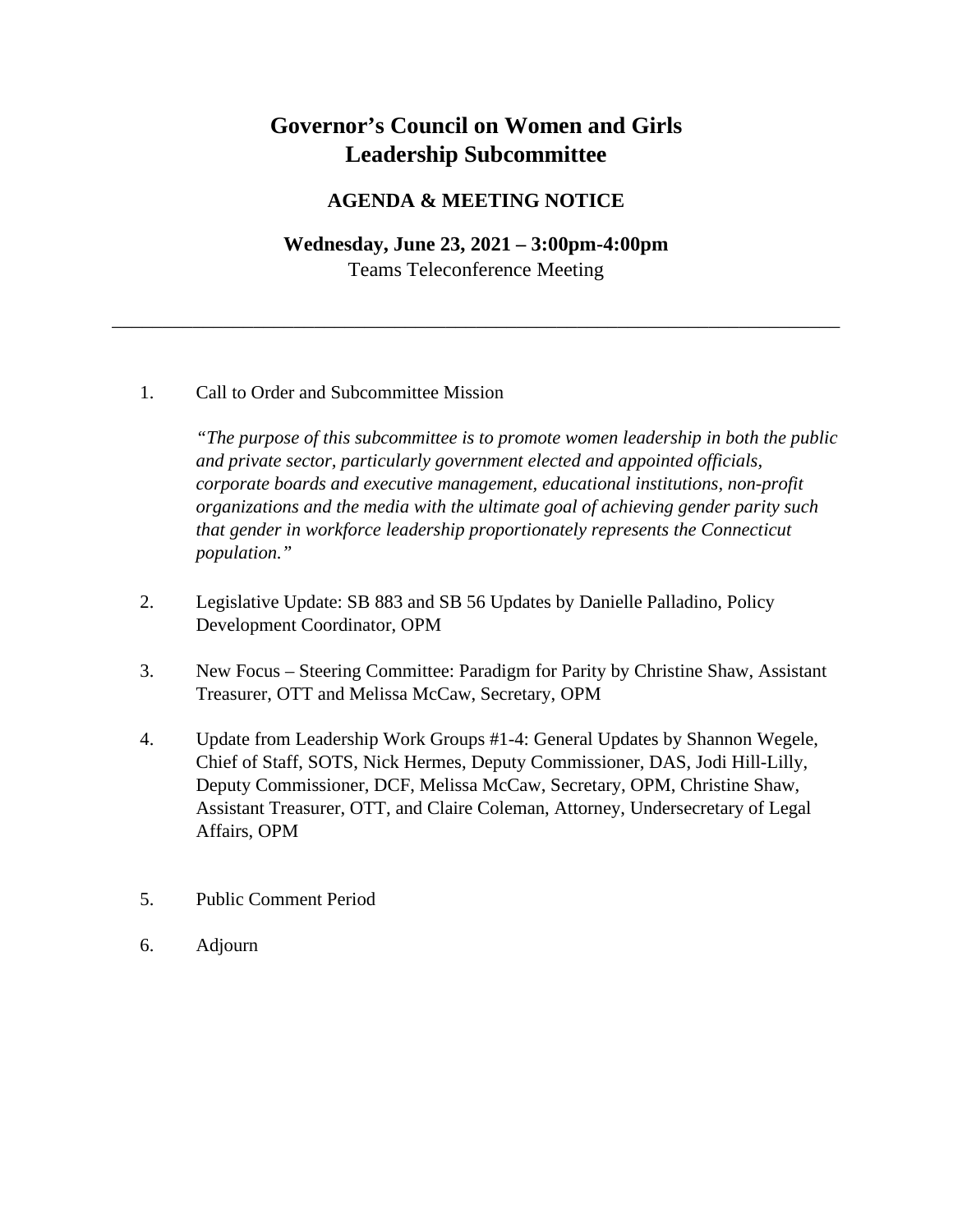# **Governor's Council on Women and Girls Leadership Subcommittee**

### **AGENDA & MEETING NOTICE**

# **Wednesday, June 23, 2021 – 3:00pm-4:00pm** Teams Teleconference Meeting

\_\_\_\_\_\_\_\_\_\_\_\_\_\_\_\_\_\_\_\_\_\_\_\_\_\_\_\_\_\_\_\_\_\_\_\_\_\_\_\_\_\_\_\_\_\_\_\_\_\_\_\_\_\_\_\_\_\_\_\_\_\_\_\_\_\_\_\_\_\_\_\_

#### 1. Call to Order and Subcommittee Mission

*"The purpose of this subcommittee is to promote women leadership in both the public and private sector, particularly government elected and appointed officials, corporate boards and executive management, educational institutions, non-profit organizations and the media with the ultimate goal of achieving gender parity such that gender in workforce leadership proportionately represents the Connecticut population."*

- 2. Legislative Update: SB 883 and SB 56 Updates by Danielle Palladino, Policy Development Coordinator, OPM
- 3. New Focus Steering Committee: Paradigm for Parity by Christine Shaw, Assistant Treasurer, OTT and Melissa McCaw, Secretary, OPM
- 4. Update from Leadership Work Groups #1-4: General Updates by Shannon Wegele, Chief of Staff, SOTS, Nick Hermes, Deputy Commissioner, DAS, Jodi Hill-Lilly, Deputy Commissioner, DCF, Melissa McCaw, Secretary, OPM, Christine Shaw, Assistant Treasurer, OTT, and Claire Coleman, Attorney, Undersecretary of Legal Affairs, OPM
- 5. Public Comment Period
- 6. Adjourn